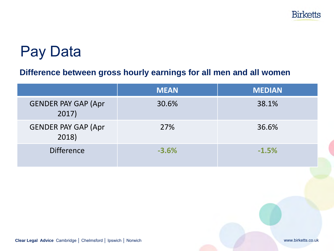

## Pay Data

#### **Difference between gross hourly earnings for all men and all women**

|                                     | <b>MEAN</b> | <b>MEDIAN</b> |
|-------------------------------------|-------------|---------------|
| <b>GENDER PAY GAP (Apr</b><br>2017) | 30.6%       | 38.1%         |
| <b>GENDER PAY GAP (Apr</b><br>2018) | 27%         | 36.6%         |
| <b>Difference</b>                   | $-3.6%$     | $-1.5%$       |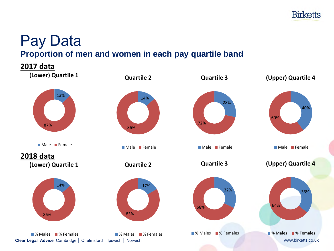

### Pay Data **Proportion of men and women in each pay quartile band**

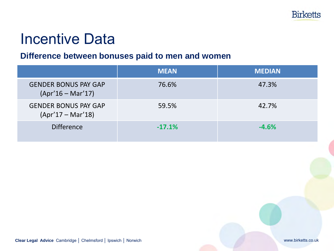# Incentive Data

### **Difference between bonuses paid to men and women**

|                                                    | <b>MEAN</b> | <b>MEDIAN</b> |
|----------------------------------------------------|-------------|---------------|
| <b>GENDER BONUS PAY GAP</b><br>$(Apr'16 - Mar'17)$ | 76.6%       | 47.3%         |
| <b>GENDER BONUS PAY GAP</b><br>$(Apr'17 - Mar'18)$ | 59.5%       | 42.7%         |
| <b>Difference</b>                                  | $-17.1%$    | $-4.6%$       |